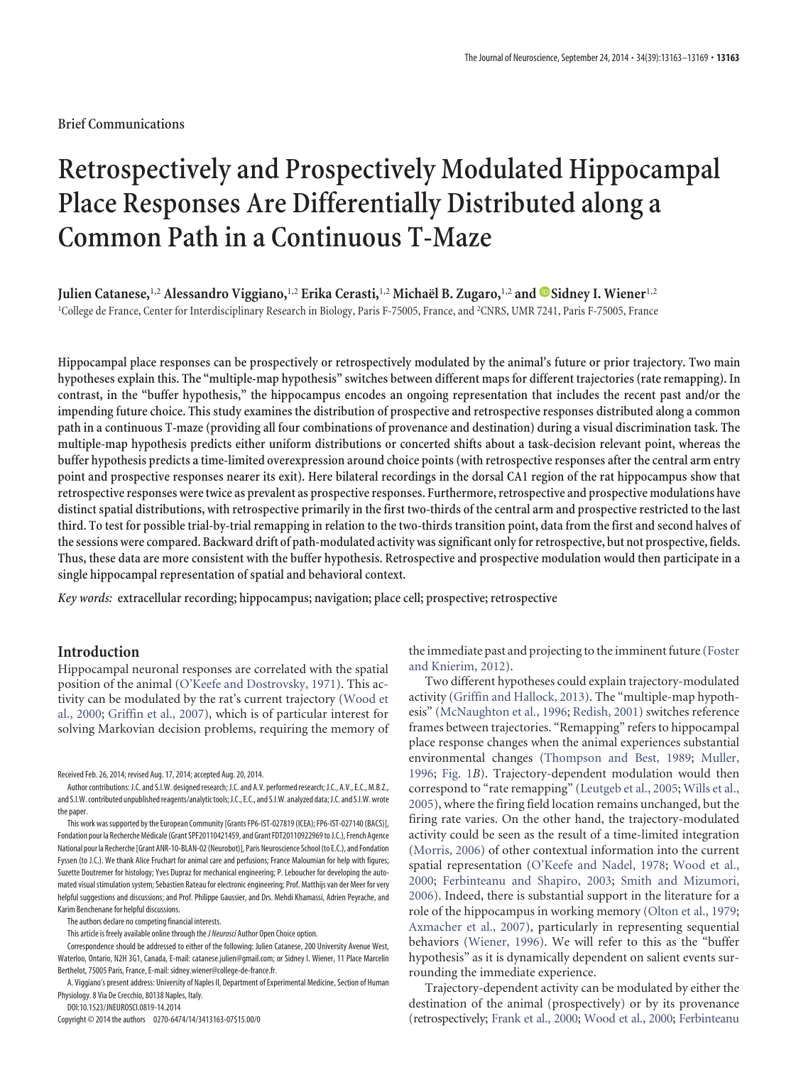# **Retrospectively and Prospectively Modulated Hippocampal Place Responses Are Differentially Distributed along a Common Path in a Continuous T-Maze**

**Julien Catanese,**1,2 **Alessandro Viggiano,**1,2 **Erika Cerasti,**1,2 **Michae¨l B. Zugaro,**1,2 **and X [Sidney I. Wiener](http://orcid.org/0000-0002-5819-1319)**1,2 1 College de France, Center for Interdisciplinary Research in Biology, Paris F-75005, France, and <sup>2</sup> CNRS, UMR 7241, Paris F-75005, France

**Hippocampal place responses can be prospectively or retrospectively modulated by the animal's future or prior trajectory. Two main hypotheses explain this. The "multiple-map hypothesis" switches between different maps for different trajectories (rate remapping). In contrast, in the "buffer hypothesis," the hippocampus encodes an ongoing representation that includes the recent past and/or the impending future choice. This study examines the distribution of prospective and retrospective responses distributed along a common path in a continuous T-maze (providing all four combinations of provenance and destination) during a visual discrimination task. The multiple-map hypothesis predicts either uniform distributions or concerted shifts about a task-decision relevant point, whereas the buffer hypothesis predicts a time-limited overexpression around choice points (with retrospective responses after the central arm entry point and prospective responses nearer its exit). Here bilateral recordings in the dorsal CA1 region of the rat hippocampus show that retrospective responses were twice as prevalent as prospective responses. Furthermore, retrospective and prospective modulations have distinct spatial distributions, with retrospective primarily in the first two-thirds of the central arm and prospective restricted to the last third. To test for possible trial-by-trial remapping in relation to the two-thirds transition point, data from the first and second halves of the sessions were compared. Backward drift of path-modulated activity was significant only for retrospective, but not prospective, fields. Thus, these data are more consistent with the buffer hypothesis. Retrospective and prospective modulation would then participate in a single hippocampal representation of spatial and behavioral context.**

*Key words:* **extracellular recording; hippocampus; navigation; place cell; prospective; retrospective**

### **Introduction**

Hippocampal neuronal responses are correlated with the spatial position of the animal [\(O'Keefe and Dostrovsky, 1971\)](#page-6-0). This activity can be modulated by the rat's current trajectory [\(Wood et](#page-6-1) [al., 2000;](#page-6-1) [Griffin et al., 2007\)](#page-6-2), which is of particular interest for solving Markovian decision problems, requiring the memory of

The authors declare no competing financial interests.

This article is freely available online through the*J Neurosci* Author Open Choice option.

Correspondence should be addressed to either of the following: Julien Catanese, 200 University Avenue West, Waterloo, Ontario, N2H 3G1, Canada, E-mail: [catanese.julien@gmail.com;](mailto:catanese.julien@gmail.com) or Sidney I. Wiener, 11 Place Marcelin Berthelot, 75005 Paris, France, E-mail[: sidney.wiener@college-de-france.fr.](mailto:sidney.wiener@college-de-france.fr)

A. Viggiano's present address: University of Naples II, Department of Experimental Medicine, Section of Human Physiology. 8 Via De Crecchio, 80138 Naples, Italy.

DOI:10.1523/JNEUROSCI.0819-14.2014

Copyright © 2014 the authors 0270-6474/14/3413163-07\$15.00/0

the immediate past and projecting to the imminent future [\(Foster](#page-6-3) [and Knierim, 2012\)](#page-6-3).

Two different hypotheses could explain trajectory-modulated activity [\(Griffin and Hallock, 2013\)](#page-6-4). The "multiple-map hypothesis" [\(McNaughton et al., 1996;](#page-6-5) [Redish, 2001\)](#page-6-6) switches reference frames between trajectories. "Remapping" refers to hippocampal place response changes when the animal experiences substantial environmental changes [\(Thompson and Best, 1989;](#page-6-7) [Muller,](#page-6-8) [1996;](#page-6-8) [Fig. 1](#page-1-0)*B*). Trajectory-dependent modulation would then correspond to "rate remapping" [\(Leutgeb et al., 2005;](#page-6-9) [Wills et al.,](#page-6-10) [2005\)](#page-6-10), where the firing field location remains unchanged, but the firing rate varies. On the other hand, the trajectory-modulated activity could be seen as the result of a time-limited integration [\(Morris, 2006\)](#page-6-11) of other contextual information into the current spatial representation [\(O'Keefe and Nadel, 1978;](#page-6-12) [Wood et al.,](#page-6-1) [2000;](#page-6-1) [Ferbinteanu and Shapiro, 2003;](#page-6-13) [Smith and Mizumori,](#page-6-14) [2006\)](#page-6-14). Indeed, there is substantial support in the literature for a role of the hippocampus in working memory [\(Olton et al., 1979;](#page-6-15) [Axmacher et al., 2007\)](#page-6-16), particularly in representing sequential behaviors [\(Wiener, 1996\)](#page-6-17). We will refer to this as the "buffer hypothesis" as it is dynamically dependent on salient events surrounding the immediate experience.

Trajectory-dependent activity can be modulated by either the destination of the animal (prospectively) or by its provenance (retrospectively; [Frank et al., 2000;](#page-6-18) [Wood et al., 2000;](#page-6-1) [Ferbinteanu](#page-6-13)

Received Feb. 26, 2014; revised Aug. 17, 2014; accepted Aug. 20, 2014.

Author contributions: J.C. and S.I.W. designed research; J.C. and A.V. performed research; J.C., A.V., E.C., M.B.Z., and S.I.W. contributed unpublished reagents/analytic tools; J.C., E.C., and S.I.W. analyzed data; J.C. and S.I.W. wrote the paper.

This work wassupported by the European Community [Grants FP6-IST-027819 (ICEA); FP6-IST-027140 (BACS)], Fondation pour la Recherche Médicale (Grant SPF20110421459, and Grant FDT20110922969 to J.C.), French Agence National pour la Recherche[Grant ANR-10-BLAN-02(Neurobot)], Paris Neuroscience School(to E.C.), and Fondation Fyssen (to J.C.). We thank Alice Fruchart for animal care and perfusions; France Maloumian for help with figures; Suzette Doutremer for histology; Yves Dupraz for mechanical engineering; P. Leboucher for developing the automated visual stimulation system; Sebastien Rateau for electronic engineering; Prof. Matthijs van der Meer for very helpful suggestions and discussions; and Prof. Philippe Gaussier, and Drs. Mehdi Khamassi, Adrien Peyrache, and Karim Benchenane for helpful discussions.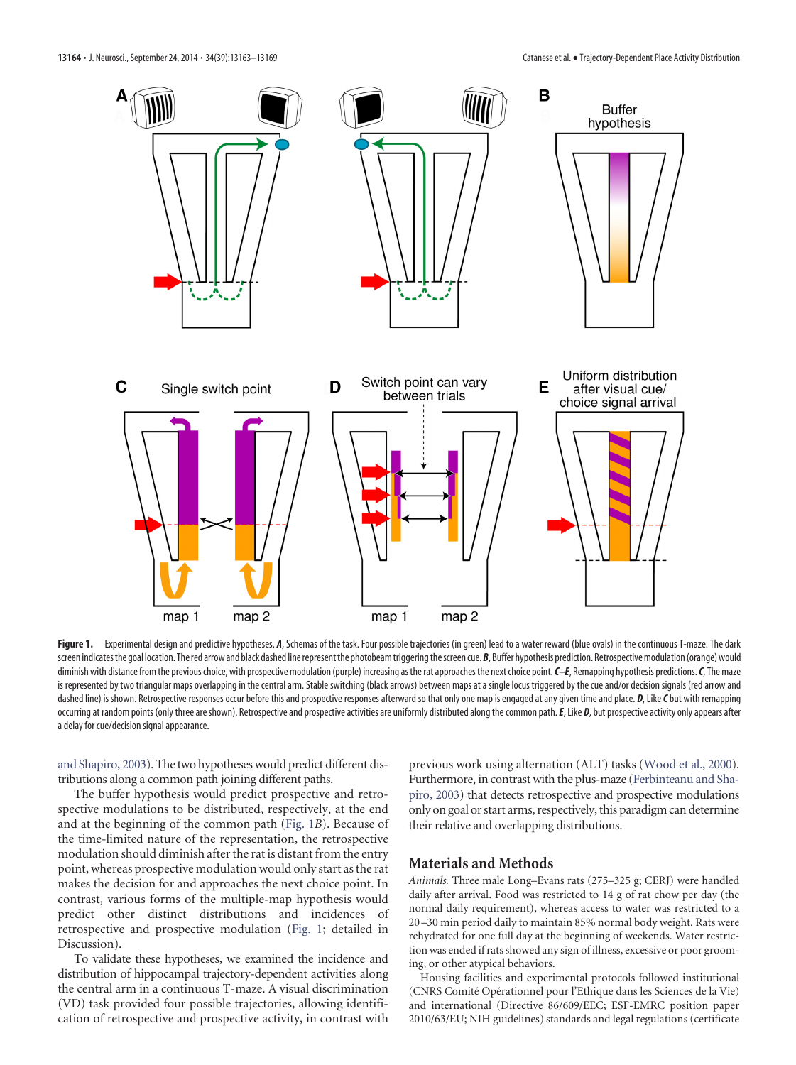

<span id="page-1-0"></span>Figure 1. Experimental design and predictive hypotheses. A, Schemas of the task. Four possible trajectories (in green) lead to a water reward (blue ovals) in the continuous T-maze. The dark screen indicates the goal location. The red arrow and black dashed line represent the photobeam triggering the screen cue. B, Buffer hypothesis prediction. Retrospective modulation (orange) would diminish with distance from the previous choice, with prospective modulation (purple) increasing as the rat approaches the next choice point.*C–E*, Remapping hypothesis predictions.*C*, The maze is represented by two triangular maps overlapping in the central arm. Stable switching (black arrows) between maps at a single locus triggered by the cue and/or decision signals (red arrow and dashed line) is shown. Retrospective responses occur before this and prospective responses afterward so that only one map is engaged at any given time and place. *D*, Like C but with remapping occurring at random points (only three are shown). Retrospective and prospective activities are uniformly distributed along the common path.*E*, Like *D*, but prospective activity only appears after a delay for cue/decision signal appearance.

[and Shapiro, 2003\)](#page-6-13). The two hypotheses would predict different distributions along a common path joining different paths.

The buffer hypothesis would predict prospective and retrospective modulations to be distributed, respectively, at the end and at the beginning of the common path [\(Fig. 1](#page-1-0)*B*). Because of the time-limited nature of the representation, the retrospective modulation should diminish after the rat is distant from the entry point, whereas prospective modulation would only start as the rat makes the decision for and approaches the next choice point. In contrast, various forms of the multiple-map hypothesis would predict other distinct distributions and incidences of retrospective and prospective modulation [\(Fig. 1;](#page-1-0) detailed in Discussion).

To validate these hypotheses, we examined the incidence and distribution of hippocampal trajectory-dependent activities along the central arm in a continuous T-maze. A visual discrimination (VD) task provided four possible trajectories, allowing identification of retrospective and prospective activity, in contrast with previous work using alternation (ALT) tasks [\(Wood et](#page-6-1) al., 2000). Furthermore, in contrast with the plus-maze [\(Ferbinteanu and Sha](#page-6-13)[piro, 2003\)](#page-6-13) that detects retrospective and prospective modulations only on goal or start arms, respectively, this paradigm can determine their relative and overlapping distributions.

## **Materials and Methods**

*Animals.* Three male Long–Evans rats (275–325 g; CERJ) were handled daily after arrival. Food was restricted to 14 g of rat chow per day (the normal daily requirement), whereas access to water was restricted to a 20 –30 min period daily to maintain 85% normal body weight. Rats were rehydrated for one full day at the beginning of weekends. Water restriction was ended if rats showed any sign of illness, excessive or poor grooming, or other atypical behaviors.

Housing facilities and experimental protocols followed institutional (CNRS Comité Opérationnel pour l'Ethique dans les Sciences de la Vie) and international (Directive 86/609/EEC; ESF-EMRC position paper 2010/63/EU; NIH guidelines) standards and legal regulations (certificate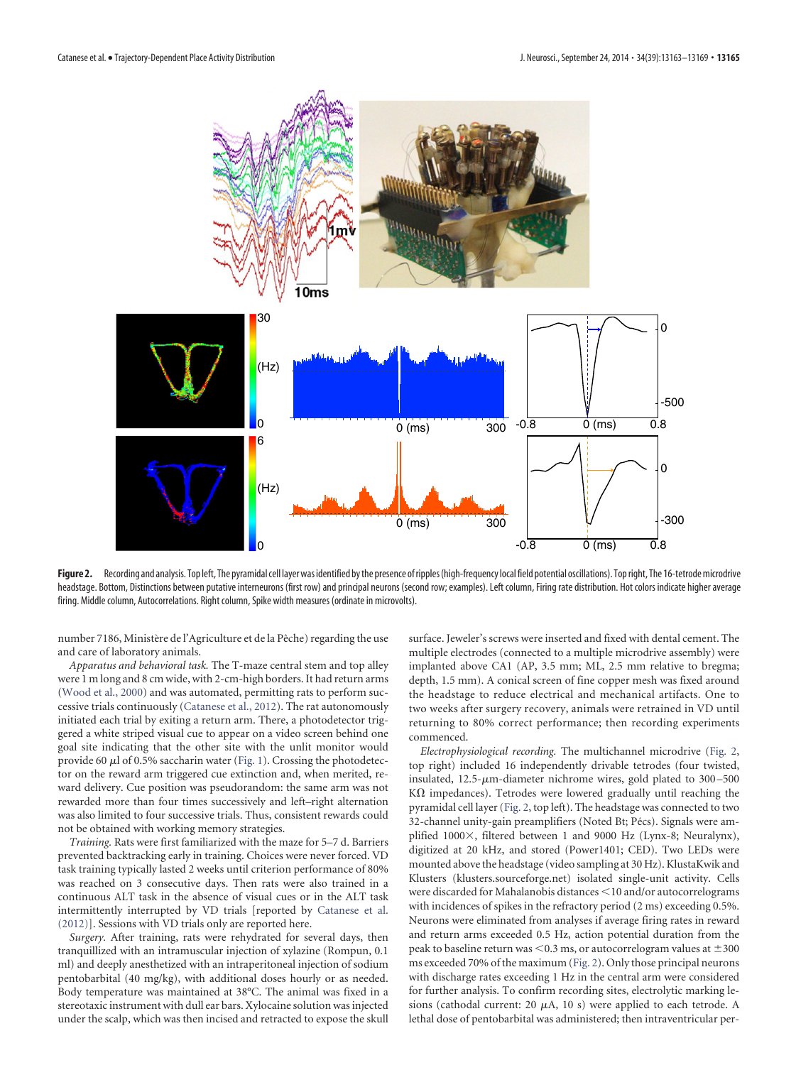

<span id="page-2-0"></span>Figure 2. Recording and analysis. Top left, The pyramidal cell layer was identified by the presence of ripples (high-frequency local field potential oscillations). Top right, The 16-tetrode microdrive headstage. Bottom, Distinctions between putative interneurons (first row) and principal neurons (second row; examples). Left column, Firing rate distribution. Hot colors indicate higher average firing. Middle column, Autocorrelations. Right column, Spike width measures (ordinate in microvolts).

number 7186, Ministère de l'Agriculture et de la Pêche) regarding the use and care of laboratory animals.

*Apparatus and behavioral task.* The T-maze central stem and top alley were 1 m long and 8 cm wide, with 2-cm-high borders. It had return arms [\(Wood et al., 2000\)](#page-6-1) and was automated, permitting rats to perform successive trials continuously [\(Catanese et al., 2012\)](#page-6-19). The rat autonomously initiated each trial by exiting a return arm. There, a photodetector triggered a white striped visual cue to appear on a video screen behind one goal site indicating that the other site with the unlit monitor would provide 60  $\mu$ l of 0.5% saccharin water [\(Fig. 1\)](#page-1-0). Crossing the photodetector on the reward arm triggered cue extinction and, when merited, reward delivery. Cue position was pseudorandom: the same arm was not rewarded more than four times successively and left–right alternation was also limited to four successive trials. Thus, consistent rewards could not be obtained with working memory strategies.

*Training.* Rats were first familiarized with the maze for 5–7 d. Barriers prevented backtracking early in training. Choices were never forced. VD task training typically lasted 2 weeks until criterion performance of 80% was reached on 3 consecutive days. Then rats were also trained in a continuous ALT task in the absence of visual cues or in the ALT task intermittently interrupted by VD trials [reported by [Catanese et al.](#page-6-19) [\(2012\)\]](#page-6-19). Sessions with VD trials only are reported here.

*Surgery.* After training, rats were rehydrated for several days, then tranquillized with an intramuscular injection of xylazine (Rompun, 0.1 ml) and deeply anesthetized with an intraperitoneal injection of sodium pentobarbital (40 mg/kg), with additional doses hourly or as needed. Body temperature was maintained at 38°C. The animal was fixed in a stereotaxic instrument with dull ear bars. Xylocaine solution was injected under the scalp, which was then incised and retracted to expose the skull surface. Jeweler's screws were inserted and fixed with dental cement. The multiple electrodes (connected to a multiple microdrive assembly) were implanted above CA1 (AP, 3.5 mm; ML, 2.5 mm relative to bregma; depth, 1.5 mm). A conical screen of fine copper mesh was fixed around the headstage to reduce electrical and mechanical artifacts. One to two weeks after surgery recovery, animals were retrained in VD until returning to 80% correct performance; then recording experiments commenced.

*Electrophysiological recording.* The multichannel microdrive [\(Fig. 2,](#page-2-0) top right) included 16 independently drivable tetrodes (four twisted, insulated, 12.5- $\mu$ m-diameter nichrome wires, gold plated to 300–500 K $\Omega$  impedances). Tetrodes were lowered gradually until reaching the pyramidal cell layer [\(Fig. 2,](#page-2-0) top left). The headstage was connected to two 32-channel unity-gain preamplifiers (Noted Bt; Pécs). Signals were amplified 1000×, filtered between 1 and 9000 Hz (Lynx-8; Neuralynx), digitized at 20 kHz, and stored (Power1401; CED). Two LEDs were mounted above the headstage (video sampling at 30 Hz). KlustaKwik and Klusters (klusters.sourceforge.net) isolated single-unit activity. Cells were discarded for Mahalanobis distances <10 and/or autocorrelograms with incidences of spikes in the refractory period (2 ms) exceeding 0.5%. Neurons were eliminated from analyses if average firing rates in reward and return arms exceeded 0.5 Hz, action potential duration from the peak to baseline return was <0.3 ms, or autocorrelogram values at  $\pm 300$ ms exceeded 70% of the maximum [\(Fig. 2\)](#page-2-0). Only those principal neurons with discharge rates exceeding 1 Hz in the central arm were considered for further analysis. To confirm recording sites, electrolytic marking lesions (cathodal current: 20  $\mu$ A, 10 s) were applied to each tetrode. A lethal dose of pentobarbital was administered; then intraventricular per-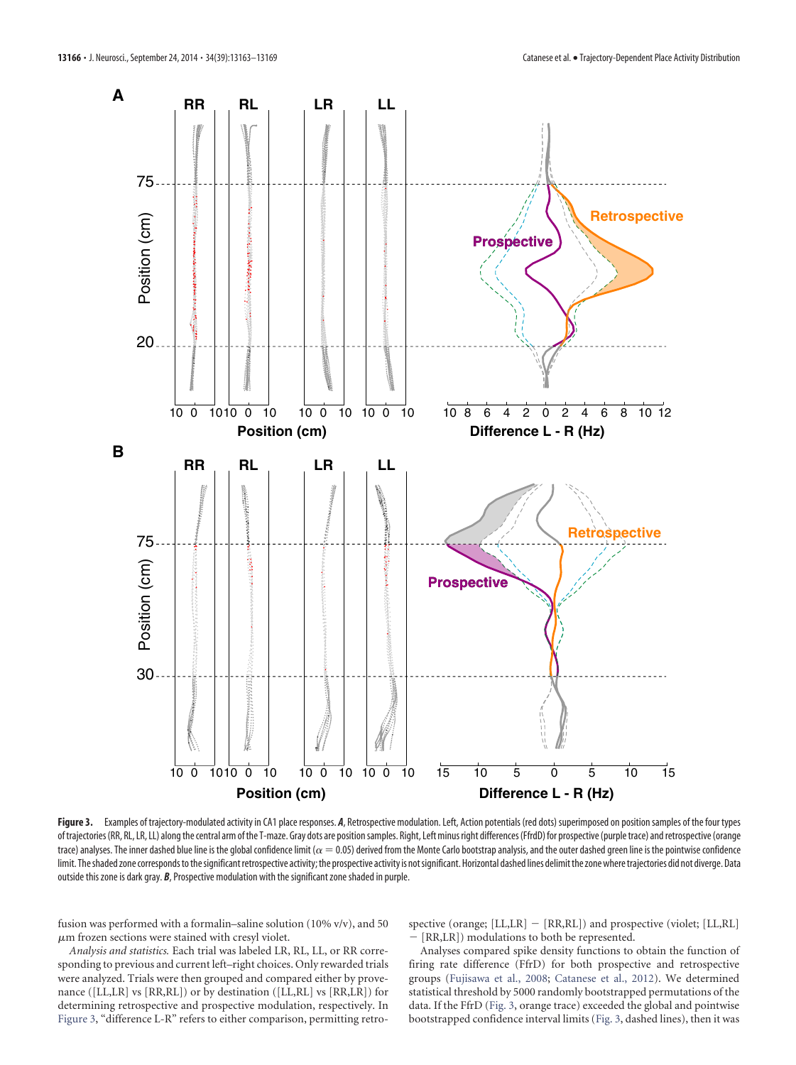

<span id="page-3-0"></span>Figure 3. Examples of trajectory-modulated activity in CA1 place responses. A, Retrospective modulation. Left, Action potentials (red dots) superimposed on position samples of the four types of trajectories (RR, RL, LR, LL) along the central arm of the T-maze. Gray dots are positionsamples. Right, Left minus right differences (FfrdD) for prospective (purple trace) and retrospective (orange trace) analyses. The inner dashed blue line is the global confidence limit ( $\alpha = 0.05$ ) derived from the Monte Carlo bootstrap analysis, and the outer dashed green line is the pointwise confidence limit. The shaded zone corresponds to the significant retrospective activity; the prospective activity is not significant. Horizontal dashed lines delimit the zone where trajectories did not diverge. Data outside this zone is dark gray. *B*, Prospective modulation with the significant zone shaded in purple.

fusion was performed with a formalin–saline solution  $(10\% \text{ v/v})$ , and 50  $\mu$ m frozen sections were stained with cresyl violet.

spective (orange;  $[LL,LR] - [RR,RL]$ ) and prospective (violet;  $[LL,RL]$ ) - [RR,LR]) modulations to both be represented.

*Analysis and statistics.* Each trial was labeled LR, RL, LL, or RR corresponding to previous and current left–right choices. Only rewarded trials were analyzed. Trials were then grouped and compared either by provenance ([LL,LR] vs [RR,RL]) or by destination ([LL,RL] vs [RR,LR]) for determining retrospective and prospective modulation, respectively. In [Figure 3,](#page-3-0) "difference L-R" refers to either comparison, permitting retro-

Analyses compared spike density functions to obtain the function of firing rate difference (FfrD) for both prospective and retrospective groups [\(Fujisawa et al., 2008;](#page-6-20) [Catanese et al., 2012\)](#page-6-19). We determined statistical threshold by 5000 randomly bootstrapped permutations of the data. If the FfrD [\(Fig. 3,](#page-3-0) orange trace) exceeded the global and pointwise bootstrapped confidence interval limits [\(Fig. 3,](#page-3-0) dashed lines), then it was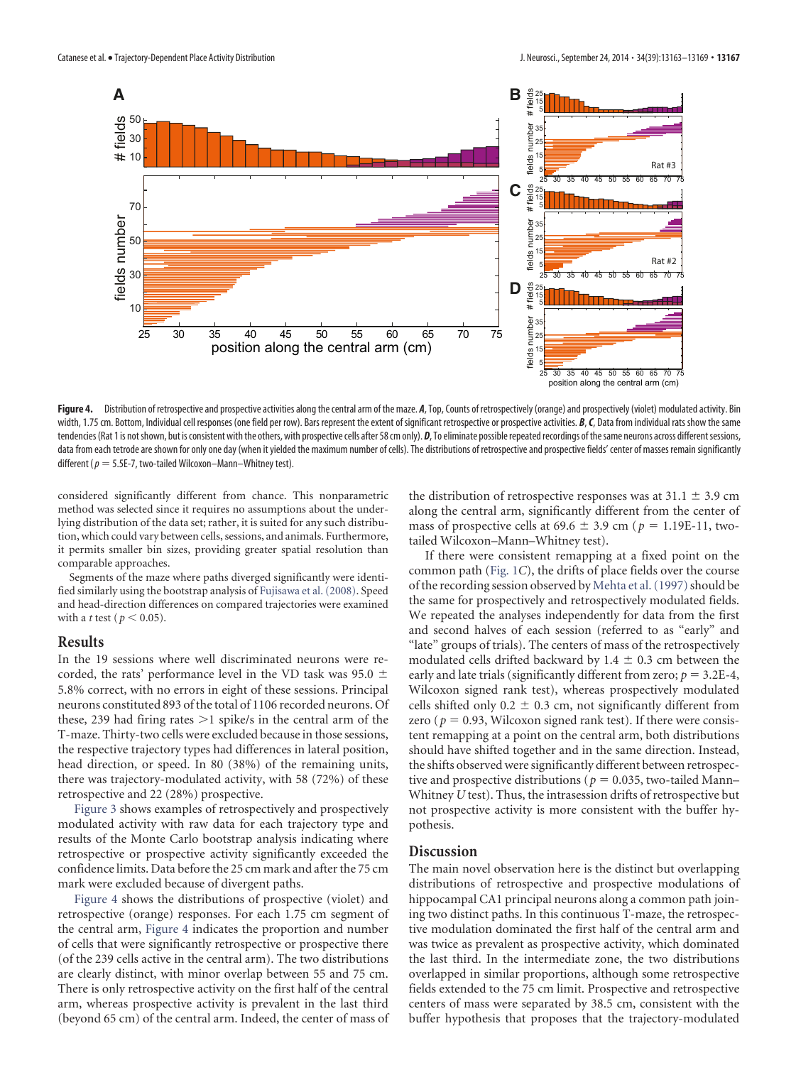

<span id="page-4-0"></span>Figure 4. Distribution of retrospective and prospective activities along the central arm of the maze. *A*, Top, Counts of retrospectively (orange) and prospectively (violet) modulated activity. Bin width, 1.75 cm. Bottom, Individual cell responses (one field per row). Bars represent the extent of significant retrospective or prospective activities. *B*, *C*, Data from individual rats show the same tendencies (Rat 1 is not shown, but is consistent with the others, with prospective cells after 58 cm only). *D*, To eliminate possible repeated recordings of the same neurons across different sessions, data from each tetrode are shown for only one day (when it yielded the maximum number of cells). The distributions of retrospective and prospective fields' center of masses remain significantly different ( $p = 5.5E-7$ , two-tailed Wilcoxon–Mann–Whitney test).

considered significantly different from chance. This nonparametric method was selected since it requires no assumptions about the underlying distribution of the data set; rather, it is suited for any such distribution, which could vary between cells, sessions, and animals. Furthermore, it permits smaller bin sizes, providing greater spatial resolution than comparable approaches.

Segments of the maze where paths diverged significantly were identified similarly using the bootstrap analysis of [Fujisawa et al. \(2008\).](#page-6-20) Speed and head-direction differences on compared trajectories were examined with a *t* test ( $p < 0.05$ ).

#### **Results**

In the 19 sessions where well discriminated neurons were recorded, the rats' performance level in the VD task was 95.0  $\pm$ 5.8% correct, with no errors in eight of these sessions. Principal neurons constituted 893 of the total of 1106 recorded neurons. Of these, 239 had firing rates  $>1$  spike/s in the central arm of the T-maze. Thirty-two cells were excluded because in those sessions, the respective trajectory types had differences in lateral position, head direction, or speed. In 80 (38%) of the remaining units, there was trajectory-modulated activity, with 58 (72%) of these retrospective and 22 (28%) prospective.

[Figure 3](#page-3-0) shows examples of retrospectively and prospectively modulated activity with raw data for each trajectory type and results of the Monte Carlo bootstrap analysis indicating where retrospective or prospective activity significantly exceeded the confidence limits. Data before the 25 cm mark and after the 75 cm mark were excluded because of divergent paths.

[Figure 4](#page-4-0) shows the distributions of prospective (violet) and retrospective (orange) responses. For each 1.75 cm segment of the central arm, [Figure 4](#page-4-0) indicates the proportion and number of cells that were significantly retrospective or prospective there (of the 239 cells active in the central arm). The two distributions are clearly distinct, with minor overlap between 55 and 75 cm. There is only retrospective activity on the first half of the central arm, whereas prospective activity is prevalent in the last third (beyond 65 cm) of the central arm. Indeed, the center of mass of

the distribution of retrospective responses was at  $31.1 \pm 3.9$  cm along the central arm, significantly different from the center of mass of prospective cells at  $69.6 \pm 3.9$  cm ( $p = 1.19E-11$ , twotailed Wilcoxon–Mann–Whitney test).

If there were consistent remapping at a fixed point on the common path [\(Fig. 1](#page-1-0)*C*), the drifts of place fields over the course of the recording session observed by [Mehta et al. \(1997\)](#page-6-21) should be the same for prospectively and retrospectively modulated fields. We repeated the analyses independently for data from the first and second halves of each session (referred to as "early" and "late" groups of trials). The centers of mass of the retrospectively modulated cells drifted backward by 1.4  $\pm$  0.3 cm between the early and late trials (significantly different from zero;  $p = 3.2E-4$ , Wilcoxon signed rank test), whereas prospectively modulated cells shifted only  $0.2 \pm 0.3$  cm, not significantly different from zero ( $p = 0.93$ , Wilcoxon signed rank test). If there were consistent remapping at a point on the central arm, both distributions should have shifted together and in the same direction. Instead, the shifts observed were significantly different between retrospective and prospective distributions ( $p = 0.035$ , two-tailed Mann– Whitney *U* test). Thus, the intrasession drifts of retrospective but not prospective activity is more consistent with the buffer hypothesis.

#### **Discussion**

The main novel observation here is the distinct but overlapping distributions of retrospective and prospective modulations of hippocampal CA1 principal neurons along a common path joining two distinct paths. In this continuous T-maze, the retrospective modulation dominated the first half of the central arm and was twice as prevalent as prospective activity, which dominated the last third. In the intermediate zone, the two distributions overlapped in similar proportions, although some retrospective fields extended to the 75 cm limit. Prospective and retrospective centers of mass were separated by 38.5 cm, consistent with the buffer hypothesis that proposes that the trajectory-modulated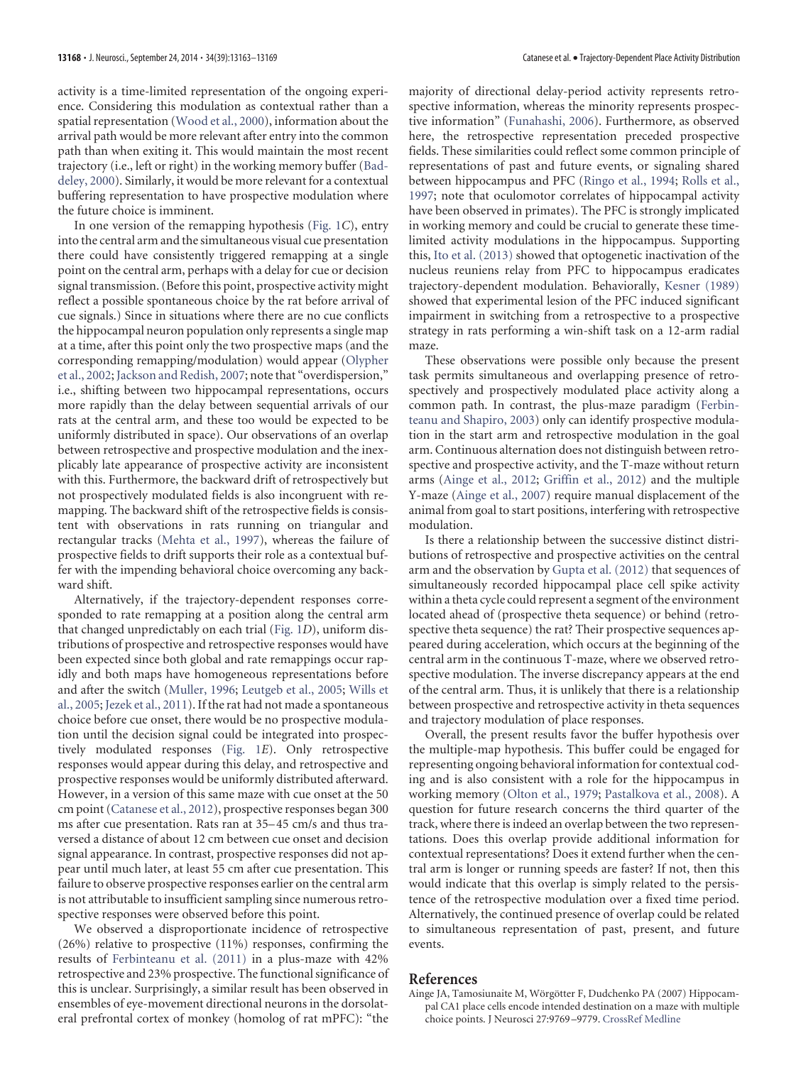activity is a time-limited representation of the ongoing experience. Considering this modulation as contextual rather than a spatial representation [\(Wood et al., 2000\)](#page-6-1), information about the arrival path would be more relevant after entry into the common path than when exiting it. This would maintain the most recent trajectory (i.e., left or right) in the working memory buffer [\(Bad](#page-6-22)[deley, 2000\)](#page-6-22). Similarly, it would be more relevant for a contextual buffering representation to have prospective modulation where the future choice is imminent.

In one version of the remapping hypothesis [\(Fig. 1](#page-1-0)*C*), entry into the central arm and the simultaneous visual cue presentation there could have consistently triggered remapping at a single point on the central arm, perhaps with a delay for cue or decision signal transmission. (Before this point, prospective activity might reflect a possible spontaneous choice by the rat before arrival of cue signals.) Since in situations where there are no cue conflicts the hippocampal neuron population only represents a single map at a time, after this point only the two prospective maps (and the corresponding remapping/modulation) would appear [\(Olypher](#page-6-23) [et al., 2002;](#page-6-23) [Jackson and Redish, 2007;](#page-6-24) note that "overdispersion," i.e., shifting between two hippocampal representations, occurs more rapidly than the delay between sequential arrivals of our rats at the central arm, and these too would be expected to be uniformly distributed in space). Our observations of an overlap between retrospective and prospective modulation and the inexplicably late appearance of prospective activity are inconsistent with this. Furthermore, the backward drift of retrospectively but not prospectively modulated fields is also incongruent with remapping. The backward shift of the retrospective fields is consistent with observations in rats running on triangular and rectangular tracks [\(Mehta et al., 1997\)](#page-6-21), whereas the failure of prospective fields to drift supports their role as a contextual buffer with the impending behavioral choice overcoming any backward shift.

Alternatively, if the trajectory-dependent responses corresponded to rate remapping at a position along the central arm that changed unpredictably on each trial [\(Fig. 1](#page-1-0)*D*), uniform distributions of prospective and retrospective responses would have been expected since both global and rate remappings occur rapidly and both maps have homogeneous representations before and after the switch [\(Muller, 1996;](#page-6-8) [Leutgeb et al., 2005;](#page-6-9) [Wills et](#page-6-10) [al., 2005;](#page-6-10) [Jezek et al., 2011\)](#page-6-25). If the rat had not made a spontaneous choice before cue onset, there would be no prospective modulation until the decision signal could be integrated into prospectively modulated responses [\(Fig. 1](#page-1-0)*E*). Only retrospective responses would appear during this delay, and retrospective and prospective responses would be uniformly distributed afterward. However, in a version of this same maze with cue onset at the 50 cm point [\(Catanese et al., 2012\)](#page-6-19), prospective responses began 300 ms after cue presentation. Rats ran at 35–45 cm/s and thus traversed a distance of about 12 cm between cue onset and decision signal appearance. In contrast, prospective responses did not appear until much later, at least 55 cm after cue presentation. This failure to observe prospective responses earlier on the central arm is not attributable to insufficient sampling since numerous retrospective responses were observed before this point.

We observed a disproportionate incidence of retrospective (26%) relative to prospective (11%) responses, confirming the results of [Ferbinteanu et al. \(2011\)](#page-6-26) in a plus-maze with 42% retrospective and 23% prospective. The functional significance of this is unclear. Surprisingly, a similar result has been observed in ensembles of eye-movement directional neurons in the dorsolateral prefrontal cortex of monkey (homolog of rat mPFC): "the

majority of directional delay-period activity represents retrospective information, whereas the minority represents prospective information" [\(Funahashi, 2006\)](#page-6-27). Furthermore, as observed here, the retrospective representation preceded prospective fields. These similarities could reflect some common principle of representations of past and future events, or signaling shared between hippocampus and PFC [\(Ringo et al., 1994;](#page-6-28) [Rolls et al.,](#page-6-29) [1997;](#page-6-29) note that oculomotor correlates of hippocampal activity have been observed in primates). The PFC is strongly implicated in working memory and could be crucial to generate these timelimited activity modulations in the hippocampus. Supporting this, [Ito et al. \(2013\)](#page-6-30) showed that optogenetic inactivation of the nucleus reuniens relay from PFC to hippocampus eradicates trajectory-dependent modulation. Behaviorally, [Kesner \(1989\)](#page-6-31) showed that experimental lesion of the PFC induced significant impairment in switching from a retrospective to a prospective strategy in rats performing a win-shift task on a 12-arm radial maze.

These observations were possible only because the present task permits simultaneous and overlapping presence of retrospectively and prospectively modulated place activity along a common path. In contrast, the plus-maze paradigm [\(Ferbin](#page-6-13)[teanu and Shapiro, 2003\)](#page-6-13) only can identify prospective modulation in the start arm and retrospective modulation in the goal arm. Continuous alternation does not distinguish between retrospective and prospective activity, and the T-maze without return arms [\(Ainge et al., 2012;](#page-6-32) [Griffin et al., 2012\)](#page-6-33) and the multiple Y-maze [\(Ainge et al., 2007\)](#page-5-0) require manual displacement of the animal from goal to start positions, interfering with retrospective modulation.

Is there a relationship between the successive distinct distributions of retrospective and prospective activities on the central arm and the observation by [Gupta et al. \(2012\)](#page-6-34) that sequences of simultaneously recorded hippocampal place cell spike activity within a theta cycle could represent a segment of the environment located ahead of (prospective theta sequence) or behind (retrospective theta sequence) the rat? Their prospective sequences appeared during acceleration, which occurs at the beginning of the central arm in the continuous T-maze, where we observed retrospective modulation. The inverse discrepancy appears at the end of the central arm. Thus, it is unlikely that there is a relationship between prospective and retrospective activity in theta sequences and trajectory modulation of place responses.

Overall, the present results favor the buffer hypothesis over the multiple-map hypothesis. This buffer could be engaged for representing ongoing behavioral information for contextual coding and is also consistent with a role for the hippocampus in working memory [\(Olton et al., 1979;](#page-6-15) [Pastalkova et al., 2008\)](#page-6-35). A question for future research concerns the third quarter of the track, where there is indeed an overlap between the two representations. Does this overlap provide additional information for contextual representations? Does it extend further when the central arm is longer or running speeds are faster? If not, then this would indicate that this overlap is simply related to the persistence of the retrospective modulation over a fixed time period. Alternatively, the continued presence of overlap could be related to simultaneous representation of past, present, and future events.

#### <span id="page-5-0"></span>**References**

Ainge JA, Tamosiunaite M, Wörgötter F, Dudchenko PA (2007) Hippocampal CA1 place cells encode intended destination on a maze with multiple choice points. J Neurosci 27:9769 –9779. [CrossRef](http://dx.doi.org/10.1523/JNEUROSCI.2011-07.2007) [Medline](http://www.ncbi.nlm.nih.gov/pubmed/17804637)